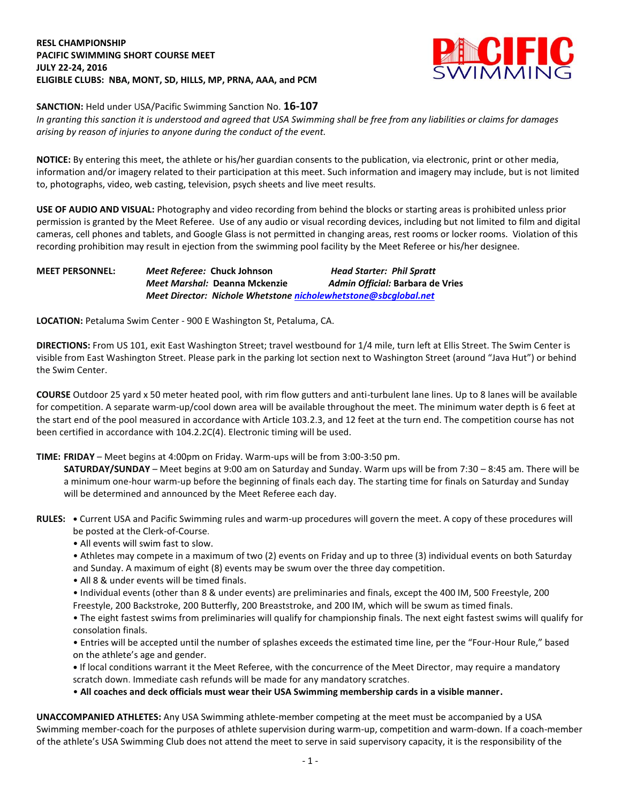# **RESL CHAMPIONSHIP PACIFIC SWIMMING SHORT COURSE MEET JULY 22-24, 2016 ELIGIBLE CLUBS: NBA, MONT, SD, HILLS, MP, PRNA, AAA, and PCM**



# **SANCTION:** Held under USA/Pacific Swimming Sanction No. **16-107**

*In granting this sanction it is understood and agreed that USA Swimming shall be free from any liabilities or claims for damages arising by reason of injuries to anyone during the conduct of the event.*

**NOTICE:** By entering this meet, the athlete or his/her guardian consents to the publication, via electronic, print or other media, information and/or imagery related to their participation at this meet. Such information and imagery may include, but is not limited to, photographs, video, web casting, television, psych sheets and live meet results.

**USE OF AUDIO AND VISUAL:** Photography and video recording from behind the blocks or starting areas is prohibited unless prior permission is granted by the Meet Referee. Use of any audio or visual recording devices, including but not limited to film and digital cameras, cell phones and tablets, and Google Glass is not permitted in changing areas, rest rooms or locker rooms. Violation of this recording prohibition may result in ejection from the swimming pool facility by the Meet Referee or his/her designee.

# **MEET PERSONNEL:** *Meet Referee:* **Chuck Johnson** *Head Starter: Phil Spratt Meet Marshal:* **Deanna Mckenzie** *Admin Official:* **Barbara de Vries** *Meet Director: Nichole Whetstone [nicholewhetstone@sbcglobal.net](mailto:nicholewhetstone@sbcglobal.net)*

**LOCATION:** Petaluma Swim Center - 900 E Washington St, Petaluma, CA.

**DIRECTIONS:** From US 101, exit East Washington Street; travel westbound for 1/4 mile, turn left at Ellis Street. The Swim Center is visible from East Washington Street. Please park in the parking lot section next to Washington Street (around "Java Hut") or behind the Swim Center.

**COURSE** Outdoor 25 yard x 50 meter heated pool, with rim flow gutters and anti-turbulent lane lines. Up to 8 lanes will be available for competition. A separate warm-up/cool down area will be available throughout the meet. The minimum water depth is 6 feet at the start end of the pool measured in accordance with Article 103.2.3, and 12 feet at the turn end. The competition course has not been certified in accordance with 104.2.2C(4). Electronic timing will be used.

**TIME: FRIDAY** – Meet begins at 4:00pm on Friday. Warm-ups will be from 3:00-3:50 pm.

**SATURDAY/SUNDAY** – Meet begins at 9:00 am on Saturday and Sunday. Warm ups will be from 7:30 – 8:45 am. There will be a minimum one-hour warm-up before the beginning of finals each day. The starting time for finals on Saturday and Sunday will be determined and announced by the Meet Referee each day.

- **RULES: •** Current USA and Pacific Swimming rules and warm-up procedures will govern the meet. A copy of these procedures will be posted at the Clerk-of-Course.
	- All events will swim fast to slow.
	- Athletes may compete in a maximum of two (2) events on Friday and up to three (3) individual events on both Saturday and Sunday. A maximum of eight (8) events may be swum over the three day competition.
	- All 8 & under events will be timed finals.
	- Individual events (other than 8 & under events) are preliminaries and finals, except the 400 IM, 500 Freestyle, 200 Freestyle, 200 Backstroke, 200 Butterfly, 200 Breaststroke, and 200 IM, which will be swum as timed finals.
	- The eight fastest swims from preliminaries will qualify for championship finals. The next eight fastest swims will qualify for consolation finals.
	- Entries will be accepted until the number of splashes exceeds the estimated time line, per the "Four-Hour Rule," based on the athlete's age and gender.
	- **•** If local conditions warrant it the Meet Referee, with the concurrence of the Meet Director, may require a mandatory scratch down. Immediate cash refunds will be made for any mandatory scratches.
	- **All coaches and deck officials must wear their USA Swimming membership cards in a visible manner.**

**UNACCOMPANIED ATHLETES:** Any USA Swimming athlete-member competing at the meet must be accompanied by a USA Swimming member-coach for the purposes of athlete supervision during warm-up, competition and warm-down. If a coach-member of the athlete's USA Swimming Club does not attend the meet to serve in said supervisory capacity, it is the responsibility of the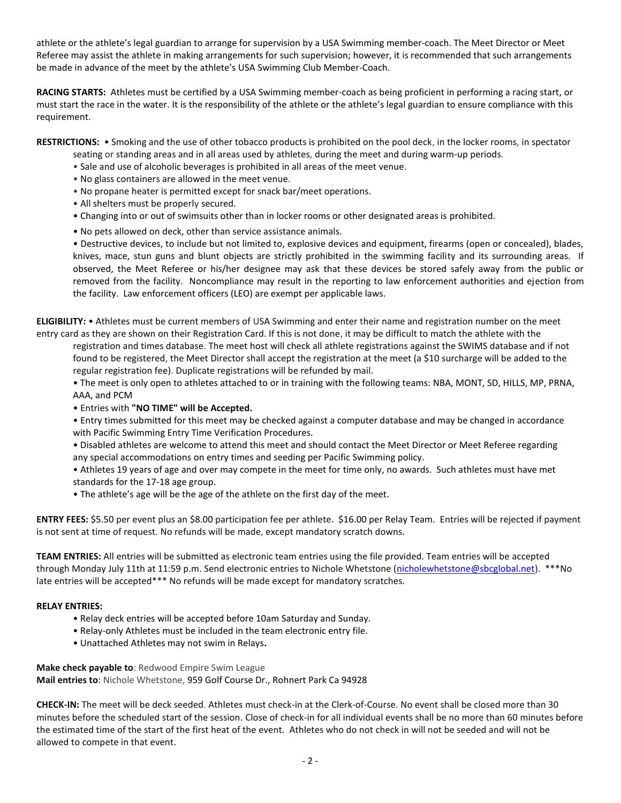athlete or the athlete's legal guardian to arrange for supervision by a USA Swimming member-coach. The Meet Director or Meet Referee may assist the athlete in making arrangements for such supervision; however, it is recommended that such arrangements be made in advance of the meet by the athlete's USA Swimming Club Member-Coach.

**RACING STARTS:** Athletes must be certified by a USA Swimming member-coach as being proficient in performing a racing start, or must start the race in the water. It is the responsibility of the athlete or the athlete's legal guardian to ensure compliance with this requirement.

**RESTRICTIONS:** • Smoking and the use of other tobacco products is prohibited on the pool deck, in the locker rooms, in spectator

- seating or standing areas and in all areas used by athletes, during the meet and during warm-up periods.
- Sale and use of alcoholic beverages is prohibited in all areas of the meet venue.
- No glass containers are allowed in the meet venue.
- No propane heater is permitted except for snack bar/meet operations.
- All shelters must be properly secured.
- Changing into or out of swimsuits other than in locker rooms or other designated areas is prohibited.
- No pets allowed on deck, other than service assistance animals.

• Destructive devices, to include but not limited to, explosive devices and equipment, firearms (open or concealed), blades, knives, mace, stun guns and blunt objects are strictly prohibited in the swimming facility and its surrounding areas. If observed, the Meet Referee or his/her designee may ask that these devices be stored safely away from the public or removed from the facility. Noncompliance may result in the reporting to law enforcement authorities and ejection from the facility. Law enforcement officers (LEO) are exempt per applicable laws.

**ELIGIBILITY:** • Athletes must be current members of USA Swimming and enter their name and registration number on the meet entry card as they are shown on their Registration Card. If this is not done, it may be difficult to match the athlete with the

registration and times database. The meet host will check all athlete registrations against the SWIMS database and if not found to be registered, the Meet Director shall accept the registration at the meet (a \$10 surcharge will be added to the regular registration fee). Duplicate registrations will be refunded by mail.

• The meet is only open to athletes attached to or in training with the following teams: NBA, MONT, SD, HILLS, MP, PRNA, AAA, and PCM

• Entries with **"NO TIME" will be Accepted.** 

• Entry times submitted for this meet may be checked against a computer database and may be changed in accordance with Pacific Swimming Entry Time Verification Procedures.

• Disabled athletes are welcome to attend this meet and should contact the Meet Director or Meet Referee regarding any special accommodations on entry times and seeding per Pacific Swimming policy.

• Athletes 19 years of age and over may compete in the meet for time only, no awards. Such athletes must have met standards for the 17-18 age group.

• The athlete's age will be the age of the athlete on the first day of the meet.

**ENTRY FEES:** \$5.50 per event plus an \$8.00 participation fee per athlete. \$16.00 per Relay Team. Entries will be rejected if payment is not sent at time of request. No refunds will be made, except mandatory scratch downs.

**TEAM ENTRIES:** All entries will be submitted as electronic team entries using the file provided. Team entries will be accepted through Monday July 11th at 11:59 p.m. Send electronic entries to Nichole Whetstone [\(nicholewhetstone@sbcglobal.net\)](mailto:nicholewhetstone@sbcglobal.net). \*\*\*No late entries will be accepted\*\*\* No refunds will be made except for mandatory scratches.

#### **RELAY ENTRIES:**

- Relay deck entries will be accepted before 10am Saturday and Sunday.
- Relay-only Athletes must be included in the team electronic entry file.
- Unattached Athletes may not swim in Relays**.**

**Make check payable to**: Redwood Empire Swim League **Mail entries to**: Nichole Whetstone, 959 Golf Course Dr., Rohnert Park Ca 94928

**CHECK-IN:** The meet will be deck seeded. Athletes must check-in at the Clerk-of-Course. No event shall be closed more than 30 minutes before the scheduled start of the session. Close of check-in for all individual events shall be no more than 60 minutes before the estimated time of the start of the first heat of the event. Athletes who do not check in will not be seeded and will not be allowed to compete in that event.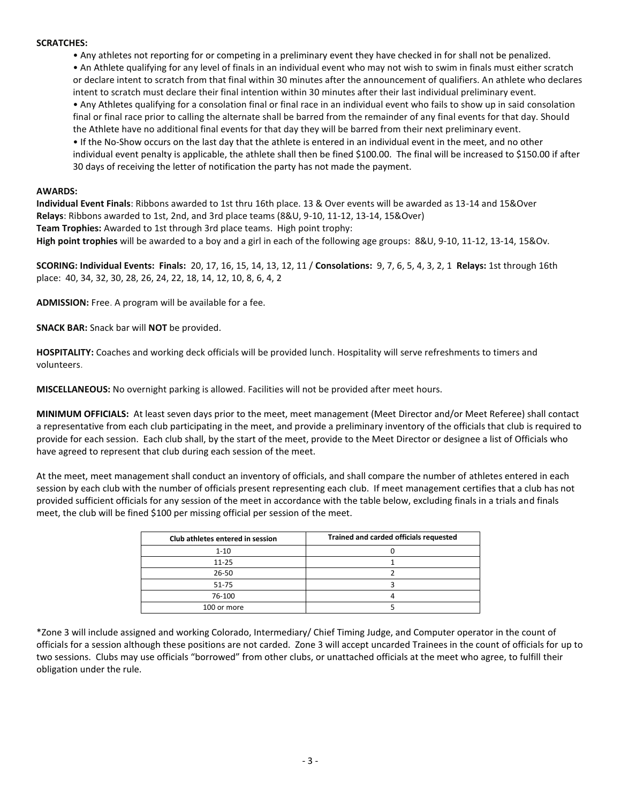## **SCRATCHES:**

• Any athletes not reporting for or competing in a preliminary event they have checked in for shall not be penalized. • An Athlete qualifying for any level of finals in an individual event who may not wish to swim in finals must either scratch or declare intent to scratch from that final within 30 minutes after the announcement of qualifiers. An athlete who declares intent to scratch must declare their final intention within 30 minutes after their last individual preliminary event. • Any Athletes qualifying for a consolation final or final race in an individual event who fails to show up in said consolation final or final race prior to calling the alternate shall be barred from the remainder of any final events for that day. Should the Athlete have no additional final events for that day they will be barred from their next preliminary event. • If the No-Show occurs on the last day that the athlete is entered in an individual event in the meet, and no other individual event penalty is applicable, the athlete shall then be fined \$100.00. The final will be increased to \$150.00 if after 30 days of receiving the letter of notification the party has not made the payment.

## **AWARDS:**

**Individual Event Finals**: Ribbons awarded to 1st thru 16th place. 13 & Over events will be awarded as 13-14 and 15&Over **Relays**: Ribbons awarded to 1st, 2nd, and 3rd place teams (8&U, 9-10, 11-12, 13-14, 15&Over) **Team Trophies:** Awarded to 1st through 3rd place teams. High point trophy: **High point trophies** will be awarded to a boy and a girl in each of the following age groups: 8&U, 9-10, 11-12, 13-14, 15&Ov.

**SCORING: Individual Events: Finals:** 20, 17, 16, 15, 14, 13, 12, 11 / **Consolations:** 9, 7, 6, 5, 4, 3, 2, 1 **Relays:** 1st through 16th place: 40, 34, 32, 30, 28, 26, 24, 22, 18, 14, 12, 10, 8, 6, 4, 2

**ADMISSION:** Free. A program will be available for a fee.

**SNACK BAR:** Snack bar will **NOT** be provided.

**HOSPITALITY:** Coaches and working deck officials will be provided lunch. Hospitality will serve refreshments to timers and volunteers.

**MISCELLANEOUS:** No overnight parking is allowed. Facilities will not be provided after meet hours.

**MINIMUM OFFICIALS:** At least seven days prior to the meet, meet management (Meet Director and/or Meet Referee) shall contact a representative from each club participating in the meet, and provide a preliminary inventory of the officials that club is required to provide for each session. Each club shall, by the start of the meet, provide to the Meet Director or designee a list of Officials who have agreed to represent that club during each session of the meet.

At the meet, meet management shall conduct an inventory of officials, and shall compare the number of athletes entered in each session by each club with the number of officials present representing each club. If meet management certifies that a club has not provided sufficient officials for any session of the meet in accordance with the table below, excluding finals in a trials and finals meet, the club will be fined \$100 per missing official per session of the meet.

| Club athletes entered in session | Trained and carded officials requested |
|----------------------------------|----------------------------------------|
| $1 - 10$                         |                                        |
| $11 - 25$                        |                                        |
| $26 - 50$                        |                                        |
| 51-75                            |                                        |
| 76-100                           |                                        |
| 100 or more                      |                                        |

\*Zone 3 will include assigned and working Colorado, Intermediary/ Chief Timing Judge, and Computer operator in the count of officials for a session although these positions are not carded. Zone 3 will accept uncarded Trainees in the count of officials for up to two sessions. Clubs may use officials "borrowed" from other clubs, or unattached officials at the meet who agree, to fulfill their obligation under the rule.